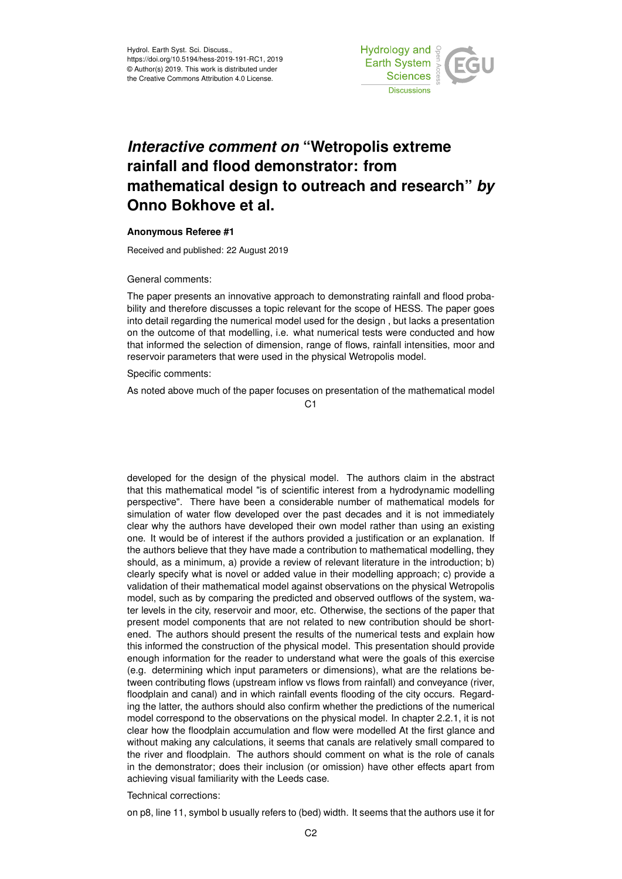

## *Interactive comment on* **"Wetropolis extreme rainfall and flood demonstrator: from mathematical design to outreach and research"** *by* **Onno Bokhove et al.**

## **Anonymous Referee #1**

Received and published: 22 August 2019

General comments:

The paper presents an innovative approach to demonstrating rainfall and flood probability and therefore discusses a topic relevant for the scope of HESS. The paper goes into detail regarding the numerical model used for the design , but lacks a presentation on the outcome of that modelling, i.e. what numerical tests were conducted and how that informed the selection of dimension, range of flows, rainfall intensities, moor and reservoir parameters that were used in the physical Wetropolis model.

Specific comments:

As noted above much of the paper focuses on presentation of the mathematical model

 $C<sub>1</sub>$ 

developed for the design of the physical model. The authors claim in the abstract that this mathematical model "is of scientific interest from a hydrodynamic modelling perspective". There have been a considerable number of mathematical models for simulation of water flow developed over the past decades and it is not immediately clear why the authors have developed their own model rather than using an existing one. It would be of interest if the authors provided a justification or an explanation. If the authors believe that they have made a contribution to mathematical modelling, they should, as a minimum, a) provide a review of relevant literature in the introduction; b) clearly specify what is novel or added value in their modelling approach; c) provide a validation of their mathematical model against observations on the physical Wetropolis model, such as by comparing the predicted and observed outflows of the system, water levels in the city, reservoir and moor, etc. Otherwise, the sections of the paper that present model components that are not related to new contribution should be shortened. The authors should present the results of the numerical tests and explain how this informed the construction of the physical model. This presentation should provide enough information for the reader to understand what were the goals of this exercise (e.g. determining which input parameters or dimensions), what are the relations between contributing flows (upstream inflow vs flows from rainfall) and conveyance (river, floodplain and canal) and in which rainfall events flooding of the city occurs. Regarding the latter, the authors should also confirm whether the predictions of the numerical model correspond to the observations on the physical model. In chapter 2.2.1, it is not clear how the floodplain accumulation and flow were modelled At the first glance and without making any calculations, it seems that canals are relatively small compared to the river and floodplain. The authors should comment on what is the role of canals in the demonstrator; does their inclusion (or omission) have other effects apart from achieving visual familiarity with the Leeds case.

## Technical corrections:

on p8, line 11, symbol b usually refers to (bed) width. It seems that the authors use it for